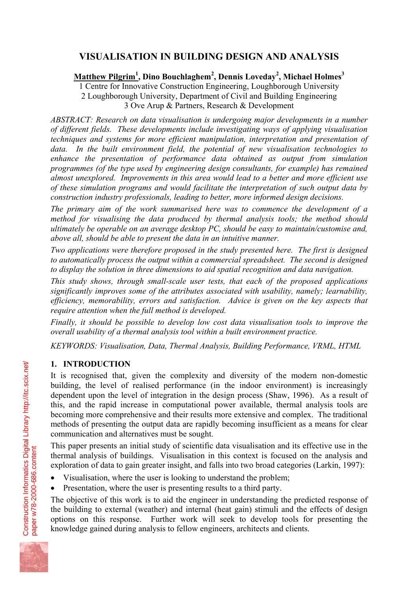# **VISUALISATION IN BUILDING DESIGN AND ANALYSIS**

**Matthew Pilgrim<sup>1</sup> , Dino Bouchlaghem<sup>2</sup> , Dennis Loveday<sup>2</sup> , Michael Holmes<sup>3</sup>**

1 Centre for Innovative Construction Engineering, Loughborough University 2 Loughborough University, Department of Civil and Building Engineering 3 Ove Arup & Partners, Research & Development

*ABSTRACT: Research on data visualisation is undergoing major developments in a number of different fields. These developments include investigating ways of applying visualisation techniques and systems for more efficient manipulation, interpretation and presentation of data. In the built environment field, the potential of new visualisation technologies to enhance the presentation of performance data obtained as output from simulation programmes (of the type used by engineering design consultants, for example) has remained almost unexplored. Improvements in this area would lead to a better and more efficient use of these simulation programs and would facilitate the interpretation of such output data by construction industry professionals, leading to better, more informed design decisions.* 

*The primary aim of the work summarised here was to commence the development of a method for visualising the data produced by thermal analysis tools; the method should ultimately be operable on an average desktop PC, should be easy to maintain/customise and, above all, should be able to present the data in an intuitive manner.* 

*Two applications were therefore proposed in the study presented here. The first is designed to automatically process the output within a commercial spreadsheet. The second is designed to display the solution in three dimensions to aid spatial recognition and data navigation.* 

*This study shows, through small-scale user tests, that each of the proposed applications significantly improves some of the attributes associated with usability, namely; learnability, efficiency, memorability, errors and satisfaction. Advice is given on the key aspects that require attention when the full method is developed.* 

*Finally, it should be possible to develop low cost data visualisation tools to improve the overall usability of a thermal analysis tool within a built environment practice.*

*KEYWORDS: Visualisation, Data, Thermal Analysis, Building Performance, VRML, HTML* 

# **1. INTRODUCTION**

It is recognised that, given the complexity and diversity of the modern non-domestic building, the level of realised performance (in the indoor environment) is increasingly dependent upon the level of integration in the design process (Shaw, 1996). As a result of this, and the rapid increase in computational power available, thermal analysis tools are becoming more comprehensive and their results more extensive and complex. The traditional methods of presenting the output data are rapidly becoming insufficient as a means for clear communication and alternatives must be sought.

This paper presents an initial study of scientific data visualisation and its effective use in the thermal analysis of buildings. Visualisation in this context is focused on the analysis and exploration of data to gain greater insight, and falls into two broad categories (Larkin, 1997):

- Visualisation, where the user is looking to understand the problem;
- Presentation, where the user is presenting results to a third party.

The objective of this work is to aid the engineer in understanding the predicted response of the building to external (weather) and internal (heat gain) stimuli and the effects of design options on this response. Further work will seek to develop tools for presenting the knowledge gained during analysis to fellow engineers, architects and clients.



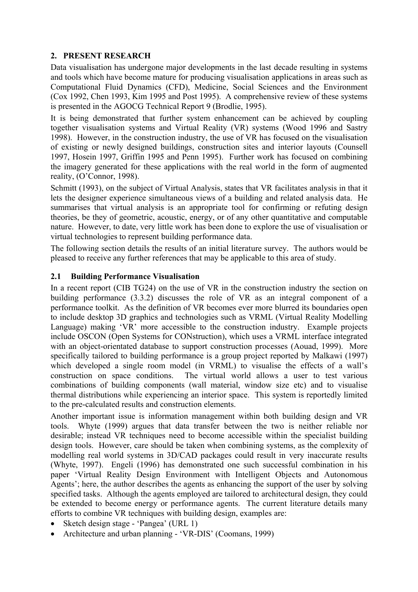#### **2. PRESENT RESEARCH**

Data visualisation has undergone major developments in the last decade resulting in systems and tools which have become mature for producing visualisation applications in areas such as Computational Fluid Dynamics (CFD), Medicine, Social Sciences and the Environment (Cox 1992, Chen 1993, Kim 1995 and Post 1995). A comprehensive review of these systems is presented in the AGOCG Technical Report 9 (Brodlie, 1995).

It is being demonstrated that further system enhancement can be achieved by coupling together visualisation systems and Virtual Reality (VR) systems (Wood 1996 and Sastry 1998). However, in the construction industry, the use of VR has focused on the visualisation of existing or newly designed buildings, construction sites and interior layouts (Counsell 1997, Hosein 1997, Griffin 1995 and Penn 1995). Further work has focused on combining the imagery generated for these applications with the real world in the form of augmented reality, (O'Connor, 1998).

Schmitt (1993), on the subject of Virtual Analysis, states that VR facilitates analysis in that it lets the designer experience simultaneous views of a building and related analysis data. He summarises that virtual analysis is an appropriate tool for confirming or refuting design theories, be they of geometric, acoustic, energy, or of any other quantitative and computable nature. However, to date, very little work has been done to explore the use of visualisation or virtual technologies to represent building performance data.

The following section details the results of an initial literature survey. The authors would be pleased to receive any further references that may be applicable to this area of study.

#### **2.1 Building Performance Visualisation**

In a recent report (CIB TG24) on the use of VR in the construction industry the section on building performance (3.3.2) discusses the role of VR as an integral component of a performance toolkit. As the definition of VR becomes ever more blurred its boundaries open to include desktop 3D graphics and technologies such as VRML (Virtual Reality Modelling Language) making 'VR' more accessible to the construction industry. Example projects include OSCON (Open Systems for CONstruction), which uses a VRML interface integrated with an object-orientated database to support construction processes (Aouad, 1999). More specifically tailored to building performance is a group project reported by Malkawi (1997) which developed a single room model (in VRML) to visualise the effects of a wall's construction on space conditions. The virtual world allows a user to test various combinations of building components (wall material, window size etc) and to visualise thermal distributions while experiencing an interior space. This system is reportedly limited to the pre-calculated results and construction elements.

Another important issue is information management within both building design and VR tools. Whyte (1999) argues that data transfer between the two is neither reliable nor desirable; instead VR techniques need to become accessible within the specialist building design tools. However, care should be taken when combining systems, as the complexity of modelling real world systems in 3D/CAD packages could result in very inaccurate results (Whyte, 1997). Engeli (1996) has demonstrated one such successful combination in his paper 'Virtual Reality Design Environment with Intelligent Objects and Autonomous Agents'; here, the author describes the agents as enhancing the support of the user by solving specified tasks. Although the agents employed are tailored to architectural design, they could be extended to become energy or performance agents. The current literature details many efforts to combine VR techniques with building design, examples are:

- Sketch design stage 'Pangea' (URL 1)
- Architecture and urban planning 'VR-DIS' (Coomans, 1999)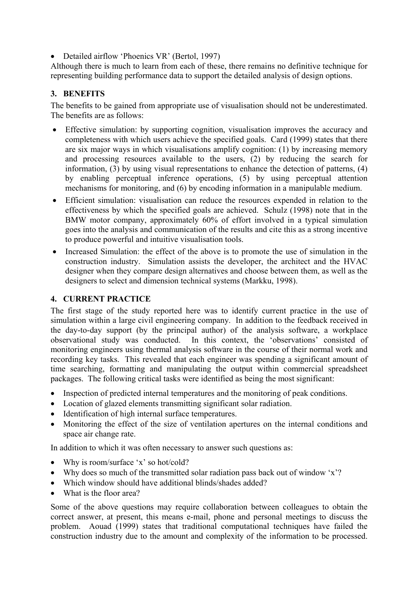• Detailed airflow 'Phoenics VR' (Bertol, 1997)

Although there is much to learn from each of these, there remains no definitive technique for representing building performance data to support the detailed analysis of design options.

#### **3. BENEFITS**

The benefits to be gained from appropriate use of visualisation should not be underestimated. The benefits are as follows:

- Effective simulation: by supporting cognition, visualisation improves the accuracy and completeness with which users achieve the specified goals. Card (1999) states that there are six major ways in which visualisations amplify cognition: (1) by increasing memory and processing resources available to the users, (2) by reducing the search for information, (3) by using visual representations to enhance the detection of patterns, (4) by enabling perceptual inference operations, (5) by using perceptual attention mechanisms for monitoring, and (6) by encoding information in a manipulable medium.
- Efficient simulation: visualisation can reduce the resources expended in relation to the effectiveness by which the specified goals are achieved. Schulz (1998) note that in the BMW motor company, approximately 60% of effort involved in a typical simulation goes into the analysis and communication of the results and cite this as a strong incentive to produce powerful and intuitive visualisation tools.
- Increased Simulation: the effect of the above is to promote the use of simulation in the construction industry. Simulation assists the developer, the architect and the HVAC designer when they compare design alternatives and choose between them, as well as the designers to select and dimension technical systems (Markku, 1998).

#### **4. CURRENT PRACTICE**

The first stage of the study reported here was to identify current practice in the use of simulation within a large civil engineering company. In addition to the feedback received in the day-to-day support (by the principal author) of the analysis software, a workplace observational study was conducted. In this context, the 'observations' consisted of monitoring engineers using thermal analysis software in the course of their normal work and recording key tasks. This revealed that each engineer was spending a significant amount of time searching, formatting and manipulating the output within commercial spreadsheet packages. The following critical tasks were identified as being the most significant:

- Inspection of predicted internal temperatures and the monitoring of peak conditions.
- Location of glazed elements transmitting significant solar radiation.
- Identification of high internal surface temperatures.
- Monitoring the effect of the size of ventilation apertures on the internal conditions and space air change rate.

In addition to which it was often necessary to answer such questions as:

- Why is room/surface 'x' so hot/cold?
- Why does so much of the transmitted solar radiation pass back out of window 'x'?
- Which window should have additional blinds/shades added?
- What is the floor area?

Some of the above questions may require collaboration between colleagues to obtain the correct answer, at present, this means e-mail, phone and personal meetings to discuss the problem. Aouad (1999) states that traditional computational techniques have failed the construction industry due to the amount and complexity of the information to be processed.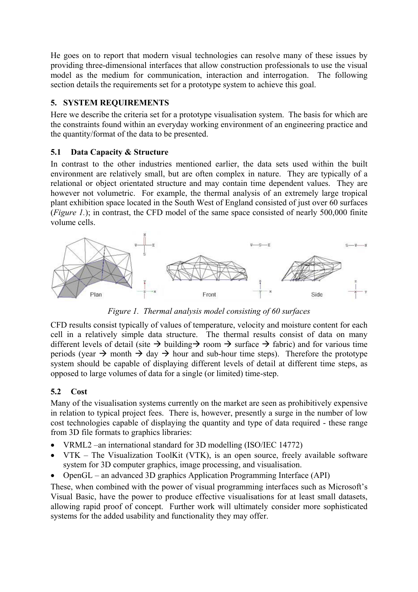He goes on to report that modern visual technologies can resolve many of these issues by providing three-dimensional interfaces that allow construction professionals to use the visual model as the medium for communication, interaction and interrogation. The following section details the requirements set for a prototype system to achieve this goal.

#### **5. SYSTEM REQUIREMENTS**

Here we describe the criteria set for a prototype visualisation system. The basis for which are the constraints found within an everyday working environment of an engineering practice and the quantity/format of the data to be presented.

#### **5.1 Data Capacity & Structure**

In contrast to the other industries mentioned earlier, the data sets used within the built environment are relatively small, but are often complex in nature. They are typically of a relational or object orientated structure and may contain time dependent values. They are however not volumetric. For example, the thermal analysis of an extremely large tropical plant exhibition space located in the South West of England consisted of just over 60 surfaces (*Figure 1.*); in contrast, the CFD model of the same space consisted of nearly 500,000 finite volume cells.



*Figure 1. Thermal analysis model consisting of 60 surfaces* 

CFD results consist typically of values of temperature, velocity and moisture content for each cell in a relatively simple data structure. The thermal results consist of data on many different levels of detail (site  $\rightarrow$  building  $\rightarrow$  room  $\rightarrow$  surface  $\rightarrow$  fabric) and for various time periods (year  $\rightarrow$  month  $\rightarrow$  day  $\rightarrow$  hour and sub-hour time steps). Therefore the prototype system should be capable of displaying different levels of detail at different time steps, as opposed to large volumes of data for a single (or limited) time-step.

# **5.2 Cost**

Many of the visualisation systems currently on the market are seen as prohibitively expensive in relation to typical project fees. There is, however, presently a surge in the number of low cost technologies capable of displaying the quantity and type of data required - these range from 3D file formats to graphics libraries:

- VRML2 –an international standard for 3D modelling (ISO/IEC 14772)
- VTK The Visualization ToolKit (VTK), is an open source, freely available software system for 3D computer graphics, image processing, and visualisation.
- OpenGL an advanced 3D graphics Application Programming Interface (API)

These, when combined with the power of visual programming interfaces such as Microsoft's Visual Basic, have the power to produce effective visualisations for at least small datasets, allowing rapid proof of concept. Further work will ultimately consider more sophisticated systems for the added usability and functionality they may offer.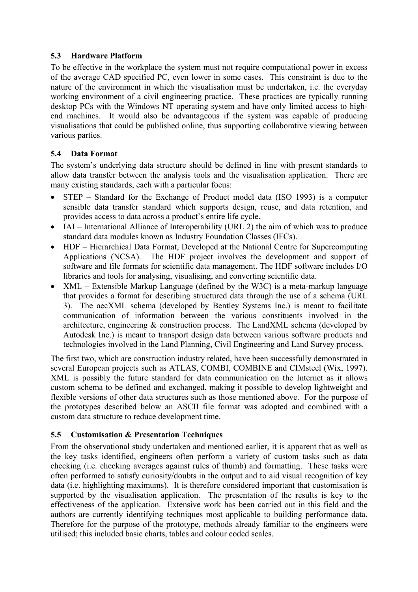#### **5.3 Hardware Platform**

To be effective in the workplace the system must not require computational power in excess of the average CAD specified PC, even lower in some cases. This constraint is due to the nature of the environment in which the visualisation must be undertaken, i.e. the everyday working environment of a civil engineering practice. These practices are typically running desktop PCs with the Windows NT operating system and have only limited access to highend machines. It would also be advantageous if the system was capable of producing visualisations that could be published online, thus supporting collaborative viewing between various parties.

# **5.4 Data Format**

The system's underlying data structure should be defined in line with present standards to allow data transfer between the analysis tools and the visualisation application. There are many existing standards, each with a particular focus:

- STEP Standard for the Exchange of Product model data (ISO 1993) is a computer sensible data transfer standard which supports design, reuse, and data retention, and provides access to data across a product's entire life cycle.
- IAI International Alliance of Interoperability (URL 2) the aim of which was to produce standard data modules known as Industry Foundation Classes (IFCs).
- HDF Hierarchical Data Format, Developed at the National Centre for Supercomputing Applications (NCSA). The HDF project involves the development and support of software and file formats for scientific data management. The HDF software includes I/O libraries and tools for analysing, visualising, and converting scientific data.
- XML Extensible Markup Language (defined by the W3C) is a meta-markup language that provides a format for describing structured data through the use of a schema (URL 3). The aecXML schema (developed by Bentley Systems Inc.) is meant to facilitate communication of information between the various constituents involved in the architecture, engineering & construction process. The LandXML schema (developed by Autodesk Inc.) is meant to transport design data between various software products and technologies involved in the Land Planning, Civil Engineering and Land Survey process.

The first two, which are construction industry related, have been successfully demonstrated in several European projects such as ATLAS, COMBI, COMBINE and CIMsteel (Wix, 1997). XML is possibly the future standard for data communication on the Internet as it allows custom schema to be defined and exchanged, making it possible to develop lightweight and flexible versions of other data structures such as those mentioned above. For the purpose of the prototypes described below an ASCII file format was adopted and combined with a custom data structure to reduce development time.

# **5.5 Customisation & Presentation Techniques**

From the observational study undertaken and mentioned earlier, it is apparent that as well as the key tasks identified, engineers often perform a variety of custom tasks such as data checking (i.e. checking averages against rules of thumb) and formatting. These tasks were often performed to satisfy curiosity/doubts in the output and to aid visual recognition of key data (i.e. highlighting maximums). It is therefore considered important that customisation is supported by the visualisation application. The presentation of the results is key to the effectiveness of the application. Extensive work has been carried out in this field and the authors are currently identifying techniques most applicable to building performance data. Therefore for the purpose of the prototype, methods already familiar to the engineers were utilised; this included basic charts, tables and colour coded scales.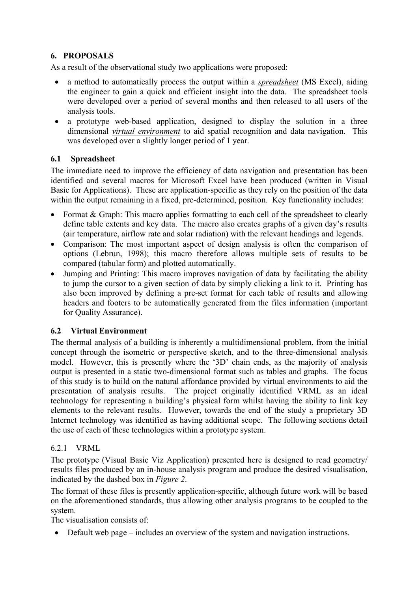# **6. PROPOSALS**

As a result of the observational study two applications were proposed:

- a method to automatically process the output within a *spreadsheet* (MS Excel), aiding the engineer to gain a quick and efficient insight into the data. The spreadsheet tools were developed over a period of several months and then released to all users of the analysis tools.
- a prototype web-based application, designed to display the solution in a three dimensional *virtual environment* to aid spatial recognition and data navigation. This was developed over a slightly longer period of 1 year.

# **6.1 Spreadsheet**

The immediate need to improve the efficiency of data navigation and presentation has been identified and several macros for Microsoft Excel have been produced (written in Visual Basic for Applications). These are application-specific as they rely on the position of the data within the output remaining in a fixed, pre-determined, position. Key functionality includes:

- Format & Graph: This macro applies formatting to each cell of the spreadsheet to clearly define table extents and key data. The macro also creates graphs of a given day's results (air temperature, airflow rate and solar radiation) with the relevant headings and legends.
- Comparison: The most important aspect of design analysis is often the comparison of options (Lebrun, 1998); this macro therefore allows multiple sets of results to be compared (tabular form) and plotted automatically.
- Jumping and Printing: This macro improves navigation of data by facilitating the ability to jump the cursor to a given section of data by simply clicking a link to it. Printing has also been improved by defining a pre-set format for each table of results and allowing headers and footers to be automatically generated from the files information (important for Quality Assurance).

# **6.2 Virtual Environment**

The thermal analysis of a building is inherently a multidimensional problem, from the initial concept through the isometric or perspective sketch, and to the three-dimensional analysis model. However, this is presently where the '3D' chain ends, as the majority of analysis output is presented in a static two-dimensional format such as tables and graphs. The focus of this study is to build on the natural affordance provided by virtual environments to aid the presentation of analysis results. The project originally identified VRML as an ideal technology for representing a building's physical form whilst having the ability to link key elements to the relevant results. However, towards the end of the study a proprietary 3D Internet technology was identified as having additional scope. The following sections detail the use of each of these technologies within a prototype system.

# 6.2.1 VRML

The prototype (Visual Basic Viz Application) presented here is designed to read geometry/ results files produced by an in-house analysis program and produce the desired visualisation, indicated by the dashed box in *Figure 2*.

The format of these files is presently application-specific, although future work will be based on the aforementioned standards, thus allowing other analysis programs to be coupled to the system.

The visualisation consists of:

• Default web page – includes an overview of the system and navigation instructions.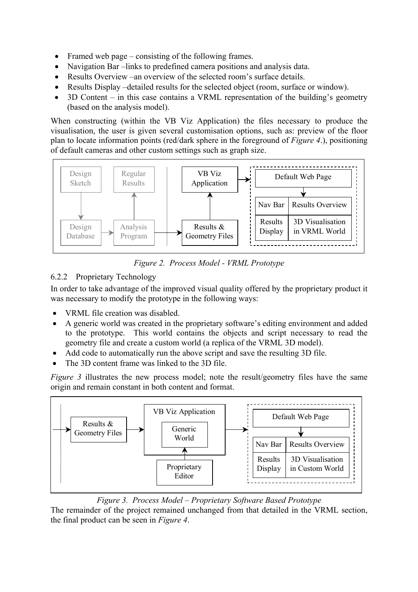- Framed web page consisting of the following frames.
- Navigation Bar –links to predefined camera positions and analysis data.
- Results Overview –an overview of the selected room's surface details.
- Results Display –detailed results for the selected object (room, surface or window).
- 3D Content in this case contains a VRML representation of the building's geometry (based on the analysis model).

When constructing (within the VB Viz Application) the files necessary to produce the visualisation, the user is given several customisation options, such as: preview of the floor plan to locate information points (red/dark sphere in the foreground of *Figure 4*.), positioning of default cameras and other custom settings such as graph size.



*Figure 2. Process Model - VRML Prototype* 

# 6.2.2 Proprietary Technology

In order to take advantage of the improved visual quality offered by the proprietary product it was necessary to modify the prototype in the following ways:

- VRML file creation was disabled.
- A generic world was created in the proprietary software's editing environment and added to the prototype. This world contains the objects and script necessary to read the geometry file and create a custom world (a replica of the VRML 3D model).
- Add code to automatically run the above script and save the resulting 3D file.
- The 3D content frame was linked to the 3D file.

*Figure 3* illustrates the new process model; note the result/geometry files have the same origin and remain constant in both content and format.



*Figure 3. Process Model – Proprietary Software Based Prototype*

The remainder of the project remained unchanged from that detailed in the VRML section, the final product can be seen in *Figure 4*.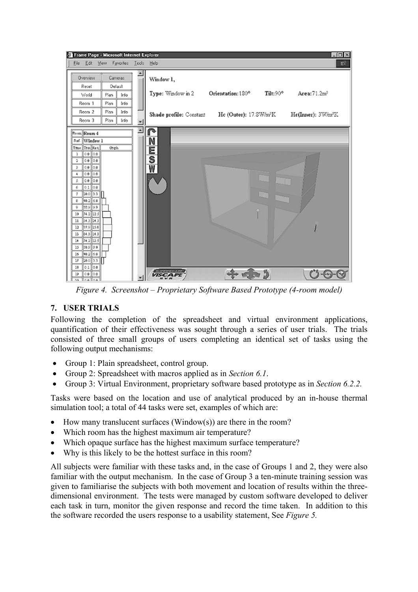

*Figure 4. Screenshot – Proprietary Software Based Prototype (4-room model)*

# **7. USER TRIALS**

Following the completion of the spreadsheet and virtual environment applications, quantification of their effectiveness was sought through a series of user trials. The trials consisted of three small groups of users completing an identical set of tasks using the following output mechanisms:

- Group 1: Plain spreadsheet, control group.
- Group 2: Spreadsheet with macros applied as in *Section 6.1*.
- Group 3: Virtual Environment, proprietary software based prototype as in *Section 6.2.2.*

Tasks were based on the location and use of analytical produced by an in-house thermal simulation tool; a total of 44 tasks were set, examples of which are:

- How many translucent surfaces (Window(s)) are there in the room?
- Which room has the highest maximum air temperature?
- Which opaque surface has the highest maximum surface temperature?
- Why is this likely to be the hottest surface in this room?

All subjects were familiar with these tasks and, in the case of Groups 1 and 2, they were also familiar with the output mechanism. In the case of Group 3 a ten-minute training session was given to familiarise the subjects with both movement and location of results within the threedimensional environment. The tests were managed by custom software developed to deliver each task in turn, monitor the given response and record the time taken. In addition to this the software recorded the users response to a usability statement, See *Figure 5.*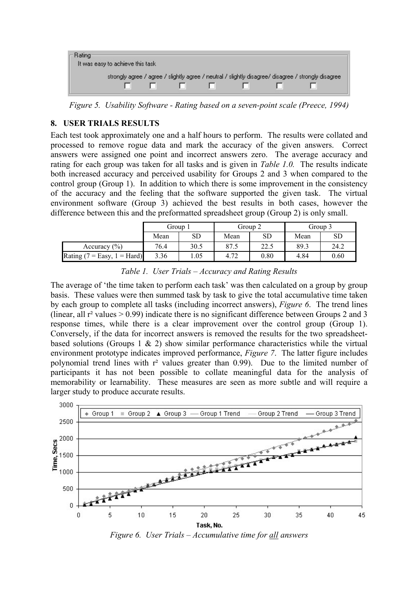| strongly agree / agree / slightly agree / neutral / slightly disagree/ disagree / strongly disagree |
|-----------------------------------------------------------------------------------------------------|
|                                                                                                     |
|                                                                                                     |

*Figure 5. Usability Software - Rating based on a seven-point scale (Preece, 1994)*

#### **8. USER TRIALS RESULTS**

Each test took approximately one and a half hours to perform. The results were collated and processed to remove rogue data and mark the accuracy of the given answers. Correct answers were assigned one point and incorrect answers zero. The average accuracy and rating for each group was taken for all tasks and is given in *Table 1.0.* The results indicate both increased accuracy and perceived usability for Groups 2 and 3 when compared to the control group (Group 1). In addition to which there is some improvement in the consistency of the accuracy and the feeling that the software supported the given task. The virtual environment software (Group 3) achieved the best results in both cases, however the difference between this and the preformatted spreadsheet group (Group 2) is only small.

|                             | Group 1 |      | Group 2 |      | Group 3 |      |
|-----------------------------|---------|------|---------|------|---------|------|
|                             | Mean    | SD   | Mean    | SD   | Mean    | SD   |
| Accuracy $(\% )$            | 76.4    | 30.5 | 87.5    | 22.5 | 89.3    | 24.2 |
| Rating (7 = Easy, 1 = Hard) | 3.36    | 1.05 | 4.72    | 0.80 | 4.84    | 0.60 |

*Table 1. User Trials – Accuracy and Rating Results* 

The average of 'the time taken to perform each task' was then calculated on a group by group basis. These values were then summed task by task to give the total accumulative time taken by each group to complete all tasks (including incorrect answers), *Figure 6*. The trend lines (linear, all  $r^2$  values  $> 0.99$ ) indicate there is no significant difference between Groups 2 and 3 response times, while there is a clear improvement over the control group (Group 1). Conversely, if the data for incorrect answers is removed the results for the two spreadsheetbased solutions (Groups 1  $\&$  2) show similar performance characteristics while the virtual environment prototype indicates improved performance, *Figure 7*. The latter figure includes polynomial trend lines with r<sup>2</sup> values greater than 0.99). Due to the limited number of participants it has not been possible to collate meaningful data for the analysis of memorability or learnability. These measures are seen as more subtle and will require a larger study to produce accurate results.



*Figure 6. User Trials – Accumulative time for all answers*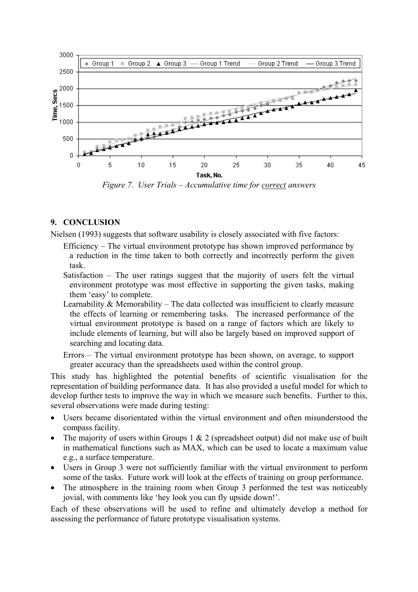

*Figure 7. User Trials – Accumulative time for correct answers* 

#### **9. CONCLUSION**

Nielsen (1993) suggests that software usability is closely associated with five factors:

- Efficiency The virtual environment prototype has shown improved performance by a reduction in the time taken to both correctly and incorrectly perform the given task.
- Satisfaction The user ratings suggest that the majority of users felt the virtual environment prototype was most effective in supporting the given tasks, making them 'easy' to complete.
- Learnability & Memorability The data collected was insufficient to clearly measure the effects of learning or remembering tasks. The increased performance of the virtual environment prototype is based on a range of factors which are likely to include elements of learning, but will also be largely based on improved support of searching and locating data.
- Errors The virtual environment prototype has been shown, on average, to support greater accuracy than the spreadsheets used within the control group.

This study has highlighted the potential benefits of scientific visualisation for the representation of building performance data. It has also provided a useful model for which to develop further tests to improve the way in which we measure such benefits. Further to this, several observations were made during testing:

- Users became disorientated within the virtual environment and often misunderstood the compass facility.
- The majority of users within Groups 1 & 2 (spreadsheet output) did not make use of built in mathematical functions such as MAX, which can be used to locate a maximum value e.g., a surface temperature.
- Users in Group 3 were not sufficiently familiar with the virtual environment to perform some of the tasks. Future work will look at the effects of training on group performance.
- The atmosphere in the training room when Group 3 performed the test was noticeably jovial, with comments like 'hey look you can fly upside down!'.

Each of these observations will be used to refine and ultimately develop a method for assessing the performance of future prototype visualisation systems.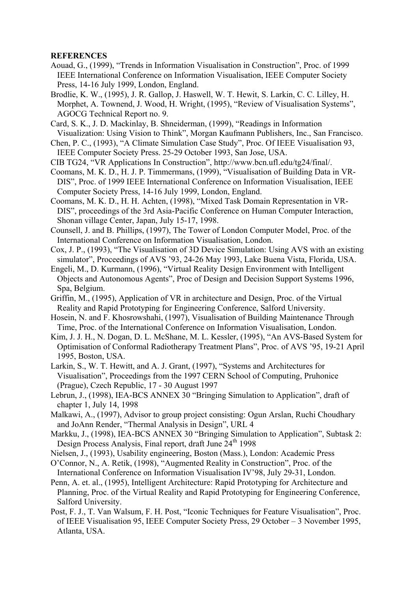#### **REFERENCES**

- Aouad, G., (1999), "Trends in Information Visualisation in Construction", Proc. of 1999 IEEE International Conference on Information Visualisation, IEEE Computer Society Press, 14-16 July 1999, London, England.
- Brodlie, K. W., (1995), J. R. Gallop, J. Haswell, W. T. Hewit, S. Larkin, C. C. Lilley, H. Morphet, A. Townend, J. Wood, H. Wright, (1995), "Review of Visualisation Systems", AGOCG Technical Report no. 9.
- Card, S. K., J. D. Mackinlay, B. Shneiderman, (1999), "Readings in Information Visualization: Using Vision to Think", Morgan Kaufmann Publishers, Inc., San Francisco.
- Chen, P. C., (1993), "A Climate Simulation Case Study", Proc. Of IEEE Visualisation 93, IEEE Computer Society Press. 25-29 October 1993, San Jose, USA.
- CIB TG24, "VR Applications In Construction", http://www.bcn.ufl.edu/tg24/final/.
- Coomans, M. K. D., H. J. P. Timmermans, (1999), "Visualisation of Building Data in VR-DIS", Proc. of 1999 IEEE International Conference on Information Visualisation, IEEE Computer Society Press, 14-16 July 1999, London, England.
- Coomans, M. K. D., H. H. Achten, (1998), "Mixed Task Domain Representation in VR-DIS", proceedings of the 3rd Asia-Pacific Conference on Human Computer Interaction, Shonan village Center, Japan, July 15-17, 1998.
- Counsell, J. and B. Phillips, (1997), The Tower of London Computer Model, Proc. of the International Conference on Information Visualisation, London.
- Cox, J. P., (1993), "The Visualisation of 3D Device Simulation: Using AVS with an existing simulator", Proceedings of AVS '93, 24-26 May 1993, Lake Buena Vista, Florida, USA.
- Engeli, M., D. Kurmann, (1996), "Virtual Reality Design Environment with Intelligent Objects and Autonomous Agents", Proc of Design and Decision Support Systems 1996, Spa, Belgium.
- Griffin, M., (1995), Application of VR in architecture and Design, Proc. of the Virtual Reality and Rapid Prototyping for Engineering Conference, Salford University.
- Hosein, N. and F. Khosrowshahi, (1997), Visualisation of Building Maintenance Through Time, Proc. of the International Conference on Information Visualisation, London.
- Kim, J. J. H., N. Dogan, D. L. McShane, M. L. Kessler, (1995), "An AVS-Based System for Optimisation of Conformal Radiotherapy Treatment Plans", Proc. of AVS '95, 19-21 April 1995, Boston, USA.
- Larkin, S., W. T. Hewitt, and A. J. Grant, (1997), "Systems and Architectures for Visualisation", Proceedings from the 1997 CERN School of Computing, Pruhonice (Prague), Czech Republic, 17 - 30 August 1997
- Lebrun, J., (1998), IEA-BCS ANNEX 30 "Bringing Simulation to Application", draft of chapter 1, July 14, 1998
- Malkawi, A., (1997), Advisor to group project consisting: Ogun Arslan, Ruchi Choudhary and JoAnn Render, "Thermal Analysis in Design", URL 4
- Markku, J., (1998), IEA-BCS ANNEX 30 "Bringing Simulation to Application", Subtask 2: Design Process Analysis, Final report, draft June  $24<sup>th</sup>$  1998
- Nielsen, J., (1993), Usability engineering, Boston (Mass.), London: Academic Press
- O'Connor, N., A. Retik, (1998), "Augmented Reality in Construction", Proc. of the International Conference on Information Visualisation IV'98, July 29-31, London.
- Penn, A. et. al., (1995), Intelligent Architecture: Rapid Prototyping for Architecture and Planning, Proc. of the Virtual Reality and Rapid Prototyping for Engineering Conference, Salford University.
- Post, F. J., T. Van Walsum, F. H. Post, "Iconic Techniques for Feature Visualisation", Proc. of IEEE Visualisation 95, IEEE Computer Society Press, 29 October – 3 November 1995, Atlanta, USA.